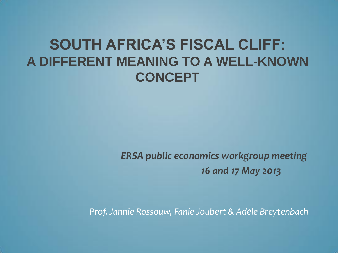# **SOUTH AFRICA'S FISCAL CLIFF: A DIFFERENT MEANING TO A WELL-KNOWN CONCEPT**

 *ERSA public economics workgroup meeting 16 and 17 May 2013*

*Prof. Jannie Rossouw, Fanie Joubert & Adèle Breytenbach*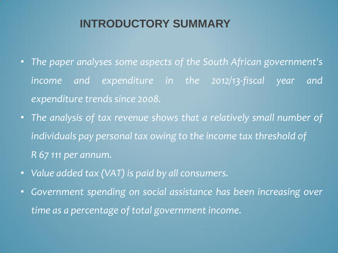## **INTRODUCTORY SUMMARY**

- *The paper analyses some aspects of the South African government's income and expenditure in the 2012/13-fiscal year and expenditure trends since 2008.*
- *The analysis of tax revenue shows that a relatively small number of individuals pay personal tax owing to the income tax threshold of R 67 111 per annum.*
- *Value added tax (VAT) is paid by all consumers.*
- *Government spending on social assistance has been increasing over time as a percentage of total government income.*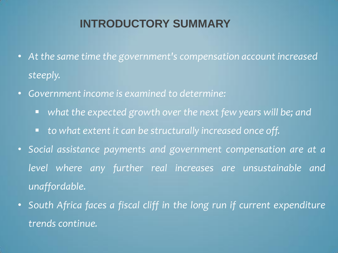## **INTRODUCTORY SUMMARY**

- *At the same time the government's compensation account increased steeply.*
- *Government income is examined to determine:*
	- *what the expected growth over the next few years will be; and*
	- *to what extent it can be structurally increased once off.*
- *Social assistance payments and government compensation are at a level where any further real increases are unsustainable and unaffordable.*
- *South Africa faces a fiscal cliff in the long run if current expenditure trends continue.*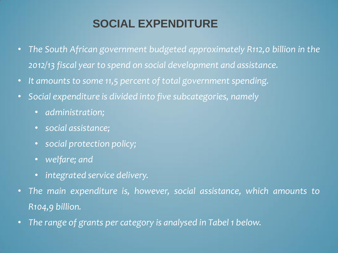## **SOCIAL EXPENDITURE**

- *The South African government budgeted approximately R112,0 billion in the 2012/13 fiscal year to spend on social development and assistance.*
- *It amounts to some 11,5 percent of total government spending.*
- *Social expenditure is divided into five subcategories, namely*
	- *administration;*
	- *social assistance;*
	- *social protection policy;*
	- *welfare; and*
	- *integrated service delivery.*
- *The main expenditure is, however, social assistance, which amounts to R104,9 billion.*
- *The range of grants per category is analysed in Tabel 1 below.*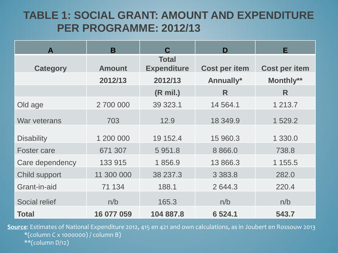#### **TABLE 1: SOCIAL GRANT: AMOUNT AND EXPENDITURE PER PROGRAMME: 2012/13**

| $\mathbf{A}$         | B             | C                                  | D                    | E                    |
|----------------------|---------------|------------------------------------|----------------------|----------------------|
| <b>Category</b>      | <b>Amount</b> | <b>Total</b><br><b>Expenditure</b> | <b>Cost per item</b> | <b>Cost per item</b> |
|                      | 2012/13       | 2012/13                            | Annually*            | Monthly**            |
|                      |               | $(R \text{ mil.})$                 | R                    | R                    |
| Old age              | 2 700 000     | 39 323.1                           | 14 5 64.1            | 1 213.7              |
| War veterans         | 703           | 12.9                               | 18 349.9             | 1 529.2              |
| <b>Disability</b>    | 1 200 000     | 19 152.4                           | 15 960.3             | 1 330.0              |
| <b>Foster care</b>   | 671 307       | 5 9 5 1 . 8                        | 8 8 6 6 . 0          | 738.8                |
| Care dependency      | 133 915       | 1856.9                             | 13 866.3             | 1 1 5 5 . 5          |
| <b>Child support</b> | 11 300 000    | 38 237.3                           | 3 3 8 3 . 8          | 282.0                |
| Grant-in-aid         | 71 134        | 188.1                              | 2 644.3              | 220.4                |
| Social relief        | n/b           | 165.3                              | n/b                  | n/b                  |
| <b>Total</b>         | 16 077 059    | 104 887.8                          | 6 5 24.1             | 543.7                |

**Source**: Estimates of National Expenditure 2012, 415 en 421 and own calculations, as in Joubert en Rossouw 2013 \*(column C x 1000000) / column B)

\*\*(column D/12)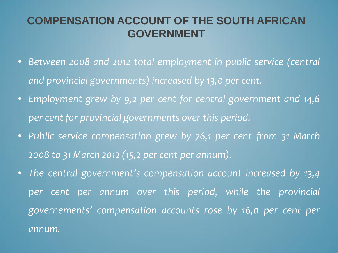#### **COMPENSATION ACCOUNT OF THE SOUTH AFRICAN GOVERNMENT**

- *Between 2008 and 2012 total employment in public service (central and provincial governments) increased by 13,0 per cent.*
- *Employment grew by 9,2 per cent for central government and 14,6 per cent for provincial governments over this period.*
- *Public service compensation grew by 76,1 per cent from 31 March 2008 to 31 March 2012 (15,2 per cent per annum).*
- *The central government's compensation account increased by 13,4 per cent per annum over this period, while the provincial governements' compensation accounts rose by 16,0 per cent per annum.*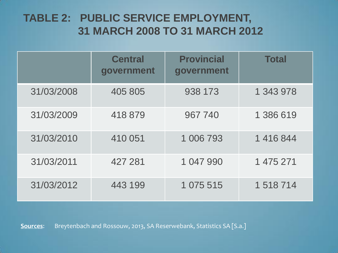### **TABLE 2: PUBLIC SERVICE EMPLOYMENT, 31 MARCH 2008 TO 31 MARCH 2012**

|            | <b>Central</b><br>government | <b>Provincial</b><br>government | <b>Total</b> |
|------------|------------------------------|---------------------------------|--------------|
| 31/03/2008 | 405 805                      | 938 173                         | 1 343 978    |
| 31/03/2009 | 418879                       | 967 740                         | 1 386 619    |
| 31/03/2010 | 410 051                      | 1 006 793                       | 1416844      |
| 31/03/2011 | 427 281                      | 1 047 990                       | 1 475 271    |
| 31/03/2012 | 443 199                      | 1 075 515                       | 1 518 714    |

**Sources**: Breytenbach and Rossouw, 2013, SA Reserwebank, Statistics SA [S.a.]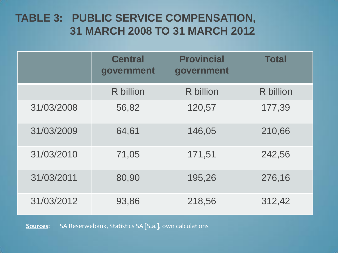### **TABLE 3: PUBLIC SERVICE COMPENSATION, 31 MARCH 2008 TO 31 MARCH 2012**

|            | <b>Central</b><br>government | <b>Provincial</b><br>government | <b>Total</b>     |
|------------|------------------------------|---------------------------------|------------------|
|            | R billion                    | R billion                       | <b>R</b> billion |
| 31/03/2008 | 56,82                        | 120,57                          | 177,39           |
| 31/03/2009 | 64,61                        | 146,05                          | 210,66           |
| 31/03/2010 | 71,05                        | 171,51                          | 242,56           |
| 31/03/2011 | 80,90                        | 195,26                          | 276,16           |
| 31/03/2012 | 93,86                        | 218,56                          | 312,42           |

**Sources**: SA Reserwebank, Statistics SA [S.a.], own calculations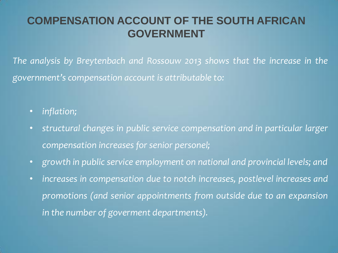#### **COMPENSATION ACCOUNT OF THE SOUTH AFRICAN GOVERNMENT**

*The analysis by Breytenbach and Rossouw 2013 shows that the increase in the government's compensation account is attributable to:*

- *inflation;*
- *structural changes in public service compensation and in particular larger compensation increases for senior personel;*
- *growth in public service employment on national and provincial levels; and*
- *increases in compensation due to notch increases, postlevel increases and promotions (and senior appointments from outside due to an expansion in the number of goverment departments).*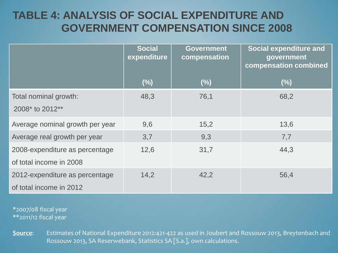### **TABLE 4: ANALYSIS OF SOCIAL EXPENDITURE AND GOVERNMENT COMPENSATION SINCE 2008**

|                                                           | <b>Social</b><br>expenditure | <b>Government</b><br>compensation | <b>Social expenditure and</b><br>government<br>compensation combined |
|-----------------------------------------------------------|------------------------------|-----------------------------------|----------------------------------------------------------------------|
|                                                           | (%)                          | (%)                               | (%)                                                                  |
| Total nominal growth:<br>2008* to 2012**                  | 48,3                         | 76,1                              | 68,2                                                                 |
| Average nominal growth per year                           | 9,6                          | 15,2                              | 13,6                                                                 |
| Average real growth per year                              | 3,7                          | 9,3                               | 7,7                                                                  |
| 2008-expenditure as percentage<br>of total income in 2008 | 12,6                         | 31,7                              | 44,3                                                                 |
| 2012-expenditure as percentage<br>of total income in 2012 | 14,2                         | 42,2                              | 56,4                                                                 |

\*2007/08 fiscal year \*\*2011/12 fiscal year

**Source**: Estimates of National Expenditure 2012:421-422 as used in Joubert and Rossouw 2013, Breytenbach and Rossouw 2013, SA Reserwebank, Statistics SA [S.a.], own calculations.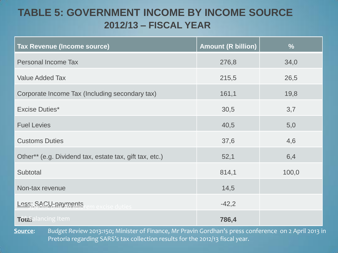#### **TABLE 5: GOVERNMENT INCOME BY INCOME SOURCE 2012/13 – FISCAL YEAR**

| Tax Revenue (Income source)                                                                                    | <b>Amount (R billion)</b> | $\frac{9}{6}$ |
|----------------------------------------------------------------------------------------------------------------|---------------------------|---------------|
| <b>Personal Income Tax</b>                                                                                     | 276,8                     | 34,0          |
| <b>Value Added Tax</b>                                                                                         | 215,5                     | 26,5          |
| Corporate Income Tax (Including secondary tax)                                                                 | 161,1                     | 19,8          |
| <b>Excise Duties*</b>                                                                                          | 30,5                      | 3,7           |
| <b>Fuel Levies</b>                                                                                             | 40,5                      | 5,0           |
| <b>Customs Duties</b>                                                                                          | 37,6                      | 4,6           |
| Other** (e.g. Dividend tax, estate tax, gift tax, etc.)                                                        | 52,1                      | 6,4           |
| Subtotal                                                                                                       | 814,1                     | 100,0         |
| Non-tax revenue                                                                                                | 14,5                      |               |
| Less: SACU-payments<br>n excise duties                                                                         | $-42,2$                   |               |
| Total ancing Item                                                                                              | 786,4                     |               |
| Budget Review 2013:150; Minister of Finance, Mr Pravin Gordhan's press conference, on 2 April 2013.<br>Source: |                           |               |

**Source**: *Budget Review* 2013:150; Minister of Finance, Mr Pravin Gordhan's press conference on 2 April 2013 in Pretoria regarding SARS's tax collection results for the 2012/13 fiscal year.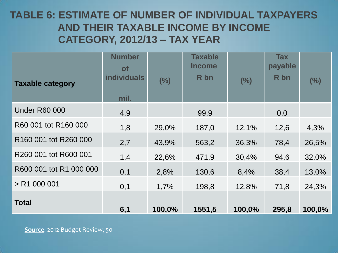#### **TABLE 6: ESTIMATE OF NUMBER OF INDIVIDUAL TAXPAYERS AND THEIR TAXABLE INCOME BY INCOME CATEGORY, 2012/13 – TAX YEAR**

| <b>Taxable category</b> | <b>Number</b><br><b>of</b><br><b>individuals</b><br>mil. | (%)    | <b>Taxable</b><br><b>Income</b><br>R bn | (%)    | <b>Tax</b><br>payable<br>R bn | (%)    |
|-------------------------|----------------------------------------------------------|--------|-----------------------------------------|--------|-------------------------------|--------|
| <b>Under R60 000</b>    | 4,9                                                      |        | 99,9                                    |        | 0,0                           |        |
| R60 001 tot R160 000    | 1,8                                                      | 29,0%  | 187,0                                   | 12,1%  | 12,6                          | 4,3%   |
| R160 001 tot R260 000   | 2,7                                                      | 43,9%  | 563,2                                   | 36,3%  | 78,4                          | 26,5%  |
| R260 001 tot R600 001   | 1,4                                                      | 22,6%  | 471,9                                   | 30,4%  | 94,6                          | 32,0%  |
| R600 001 tot R1 000 000 | 0,1                                                      | 2,8%   | 130,6                                   | 8,4%   | 38,4                          | 13,0%  |
| $>$ R1 000 001          | 0,1                                                      | 1,7%   | 198,8                                   | 12,8%  | 71,8                          | 24,3%  |
| <b>Total</b>            | 6,1                                                      | 100,0% | 1551,5                                  | 100,0% | 295,8                         | 100,0% |

**Source**: 2012 Budget Review, 50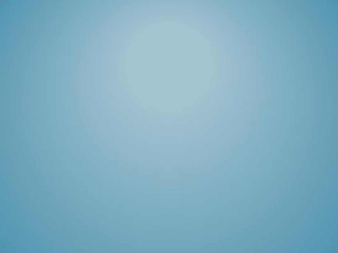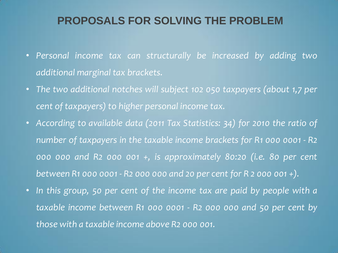### **PROPOSALS FOR SOLVING THE PROBLEM**

- *Personal income tax can structurally be increased by adding two additional marginal tax brackets.*
- *The two additional notches will subject 102 050 taxpayers (about 1,7 per cent of taxpayers) to higher personal income tax.*
- *According to available data (2011 Tax Statistics: 34) for 2010 the ratio of number of taxpayers in the taxable income brackets for R1 000 0001 - R2 000 000 and R2 000 001 +, is approximately 80:20 (i.e. 80 per cent between R1 000 0001 - R2 000 000 and 20 per cent for R 2 000 001 +).*
- *In this group, 50 per cent of the income tax are paid by people with a taxable income between R1 000 0001 - R2 000 000 and 50 per cent by those with a taxable income above R2 000 001.*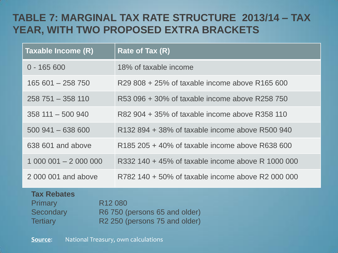#### **TABLE 7: MARGINAL TAX RATE STRUCTURE 2013/14 – TAX YEAR, WITH TWO PROPOSED EXTRA BRACKETS**

| Taxable Income (R)                                                                          | Rate of Tax (R)                                                            |  |  |
|---------------------------------------------------------------------------------------------|----------------------------------------------------------------------------|--|--|
| $0 - 165600$                                                                                | 18% of taxable income                                                      |  |  |
| $165601 - 258750$                                                                           | R29 808 + 25% of taxable income above R165 600                             |  |  |
| $258751 - 358110$                                                                           | R53 096 + 30% of taxable income above R258 750                             |  |  |
| $358111 - 500940$                                                                           | R82 904 + 35% of taxable income above R358 110                             |  |  |
| $500941 - 638600$                                                                           | R132 894 + 38% of taxable income above R500 940                            |  |  |
| 638 601 and above                                                                           | R185 205 + 40% of taxable income above R638 600                            |  |  |
| $1000001 - 2000000$                                                                         | R332 140 + 45% of taxable income above R 1000 000                          |  |  |
| 2 000 001 and above                                                                         | R782 140 + 50% of taxable income above R2 000 000                          |  |  |
| <b>Tax Rebates</b><br><b>Primary</b><br>R <sub>12</sub> 080<br>Secondary<br><b>Tertiary</b> | R6 750 (persons 65 and older)<br>R <sub>2</sub> 250 (persons 75 and older) |  |  |

**Source**: National Treasury, own calculations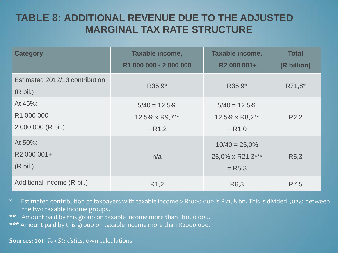#### **TABLE 8: ADDITIONAL REVENUE DUE TO THE ADJUSTED MARGINAL TAX RATE STRUCTURE**

| <b>Category</b>                                          | Taxable income,<br>R1 000 000 - 2 000 000    | Taxable income,<br>R <sub>2</sub> 000 001+      | <b>Total</b><br>(R billion) |
|----------------------------------------------------------|----------------------------------------------|-------------------------------------------------|-----------------------------|
| Estimated 2012/13 contribution<br>$(R \text{ bil.})$     | R35,9*                                       | R35,9*                                          | R71,8 <sup>*</sup>          |
| At 45%:<br>R1 000 000 -<br>2 000 000 (R bil.)            | $5/40 = 12,5%$<br>12,5% x R9,7**<br>$= R1,2$ | $5/40 = 12,5%$<br>12,5% x R8,2**<br>$= R1,0$    | R <sub>2</sub> ,2           |
| At 50%:<br>R <sub>2</sub> 000 001+<br>$(R \text{ bil.})$ | n/a                                          | $10/40 = 25,0%$<br>25,0% x R21,3***<br>$= R5,3$ | R <sub>5</sub> ,3           |
| Additional Income (R bil.)                               | R <sub>1</sub> ,2                            | R6,3                                            | R7,5                        |

\* Estimated contribution of taxpayers with taxable income > R1000 000 is R71, 8 bn. This is divided 50:50 between the two taxable income groups.

\*\* Amount paid by this group on taxable income more than R1000 000.

\*\*\* Amount paid by this group on taxable income more than R2000 000.

#### **Sources:** 2011 *Tax Statistics*, own calculations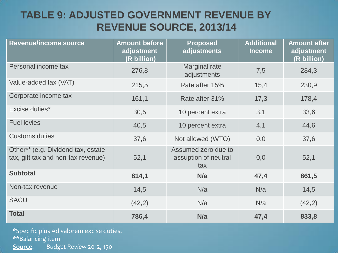#### **TABLE 9: ADJUSTED GOVERNMENT REVENUE BY REVENUE SOURCE, 2013/14**

| Revenue/income source                                                    | <b>Amount before</b><br>adjustment<br>(R billion) | <b>Proposed</b><br>adjustments                     | <b>Additional</b><br><b>Income</b> | <b>Amount after</b><br>adjustment<br>(R billion) |
|--------------------------------------------------------------------------|---------------------------------------------------|----------------------------------------------------|------------------------------------|--------------------------------------------------|
| Personal income tax                                                      | 276,8                                             | Marginal rate<br>adjustments                       | 7,5                                | 284,3                                            |
| Value-added tax (VAT)                                                    | 215,5                                             | Rate after 15%                                     | 15,4                               | 230,9                                            |
| Corporate income tax                                                     | 161,1                                             | Rate after 31%                                     | 17,3                               | 178,4                                            |
| Excise duties*                                                           | 30,5                                              | 10 percent extra                                   | 3,1                                | 33,6                                             |
| <b>Fuel levies</b>                                                       | 40,5                                              | 10 percent extra                                   | 4,1                                | 44,6                                             |
| <b>Customs duties</b>                                                    | 37,6                                              | Not allowed (WTO)                                  | 0,0                                | 37,6                                             |
| Other** (e.g. Dividend tax, estate<br>tax, gift tax and non-tax revenue) | 52,1                                              | Assumed zero due to<br>assuption of neutral<br>tax | 0,0                                | 52,1                                             |
| <b>Subtotal</b>                                                          | 814,1                                             | N/a                                                | 47,4                               | 861,5                                            |
| Non-tax revenue                                                          | 14,5                                              | N/a                                                | N/a                                | 14,5                                             |
| <b>SACU</b>                                                              | (42,2)                                            | N/a                                                | N/a                                | (42,2)                                           |
| <b>Total</b>                                                             | 786,4                                             | N/a                                                | 47,4                               | 833,8                                            |

\*Specific plus Ad valorem excise duties. \*\*Balancing item

**Source**: *Budget Review* 2012, 150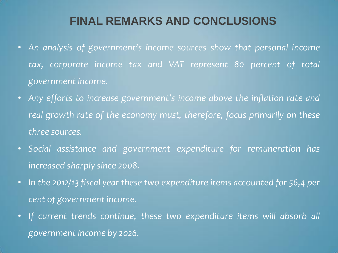## **FINAL REMARKS AND CONCLUSIONS**

- *An analysis of government's income sources show that personal income tax, corporate income tax and VAT represent 80 percent of total government income.*
- *Any efforts to increase government's income above the inflation rate and real growth rate of the economy must, therefore, focus primarily on these three sources.*
- *Social assistance and government expenditure for remuneration has increased sharply since 2008.*
- *In the 2012/13 fiscal year these two expenditure items accounted for 56,4 per cent of government income.*
- *If current trends continue, these two expenditure items will absorb all government income by 2026.*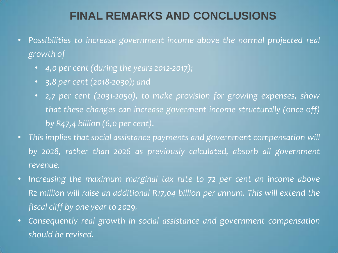## **FINAL REMARKS AND CONCLUSIONS**

- *Possibilities to increase government income above the normal projected real growth of*
	- *4,0 per cent (during the years 2012-2017);*
	- *3,8 per cent (2018-2030); and*
	- *2,7 per cent (2031-2050), to make provision for growing expenses, show that these changes can increase goverment income structurally (once off) by R47,4 billion (6,0 per cent).*
- *This implies that social assistance payments and government compensation will by 2028, rather than 2026 as previously calculated, absorb all government revenue.*
- *Increasing the maximum marginal tax rate to 72 per cent an income above R2 million will raise an additional R17,04 billion per annum. This will extend the fiscal cliff by one year to 2029.*
- *Consequently real growth in social assistance and government compensation should be revised.*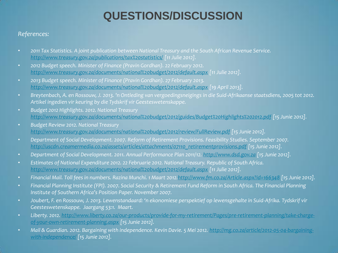## **QUESTIONS/DISCUSSION**

#### *References:*

- *2011 Tax Statistics. A joint publication between National Treasury and the South African Revenue Service. [http://www.treasury.gov.za/publications/tax%20statistics/](http://www.treasury.gov.za/publications/tax statistics/) [11 Julie 2012].*
- *2012 Budget speech. Minister of Finance (Pravin Gordhan). 22 February 2012. [http://www.treasury.gov.za/documents/national%20budget/2012/default.aspx](http://www.treasury.gov.za/documents/national budget/2012/default.aspx) [11 Julie 2012].*
- *2013 Budget speech. Minister of Finance (Pravin Gordhan). 27 February 2013. [http://www.treasury.gov.za/documents/national%20budget/2012/default.aspx](http://www.treasury.gov.za/documents/national budget/2012/default.aspx) [19 April 2013].*
- *Breytenbach, A. en Rossouw, J. 2013. 'n Ontleding van vergoedingsneigings in die Suid-Afrikaanse staatsdiens, 2005 tot 2012. Artikel ingedien vir keuring by die Tydskrif vir Geesteswetenskappe.*
- *Budget 2012 Highlights. 2012. National Treasury [http://www.treasury.gov.za/documents/national%20budget/2012/guides/Budget%20Highlights%202012.pdf](http://www.treasury.gov.za/documents/national budget/2012/guides/Budget Highlights 2012.pdf) [15 Junie 2012].*
- *Budget Review 2012. National Treasury [http://www.treasury.gov.za/documents/national%20budget/2012/review/FullReview.pdf](http://www.treasury.gov.za/documents/national budget/2012/review/FullReview.pdf) [15 Junie 2012].*
- *Department of Social Development. 2007. Reform of Retirement Provisions. Feasibility Studies. September 2007. [http://uscdn.creamermedia.co.za/assets/articles/attachments/07110\\_retirementprovisions.pdf](http://uscdn.creamermedia.co.za/assets/articles/attachments/07110_retirementprovisions.pdf) [15 Junie 2012].*
- Department of Social Development. 2011. Annual Performance Plan 2011/12. **[http://www.dsd.gov.za](http://www.dsd.gov.za/)** [15 Junie 2012].
- *Estimates of National Expenditure 2012. 22 Februarie 2012. National Treasury. Republic of South Africa. [http://www.treasury.gov.za/documents/national%20budget/2012/default.aspx](http://www.treasury.gov.za/documents/national budget/2012/default.aspx) [11 Julie 2012].*
- *Financial Mail. Toll fees in numbers. Razina Munchi. 1 Maart 2012.<http://www.fm.co.za/Article.aspx?id=166348> [15 Junie 2012].*
- *Financial Planning Institute (FPI). 2007. Social Security & Retirement Fund Reform in South Africa. The Financial Planning Institute of Southern Africa's Position Paper. November 2007.*
- *Joubert, F. en Rossouw, J. 2013. Lewenstandaard: 'n ekonomiese perspektief op lewensgehalte in Suid-Afrika. Tydskrif vir Geesteswetenskappe. Jaargang 53:1. Maart.*
- *Liberty. 2012. [http://www.liberty.co.za/our-products/provide-for-my-retirement/Pages/pre-retirement-planning/take-charge](http://www.liberty.co.za/our-products/provide-for-my-retirement/Pages/pre-retirement-planning/take-charge-of-your-own-retirement-planning.aspx)[of-your-own-retirement-planning.aspx](http://www.liberty.co.za/our-products/provide-for-my-retirement/Pages/pre-retirement-planning/take-charge-of-your-own-retirement-planning.aspx) [15 Junie 2012].*
- Mail & Guardian. 2012. Bargaining with independence. Kevin Davie. 5 Mei 2012. [http://mg.co.za/article/2012-05-04-bargaining](http://mg.co.za/article/2012-05-04-bargaining-with-independence/)*[with-independence/](http://mg.co.za/article/2012-05-04-bargaining-with-independence/) [15 Junie 2012].*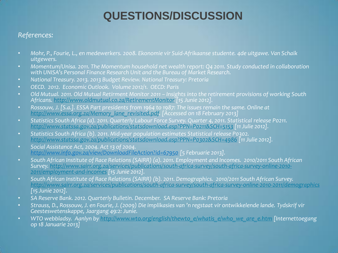## **QUESTIONS/DISCUSSION**

#### *References:*

- *Mohr, P., Fourie, L., en medewerkers. 2008. Ekonomie vir Suid-Afrikaanse studente. 4de uitgawe. Van Schaik uitgewers.*
- *Momentum/Unisa. 2011. The Momentum household net wealth report: Q4 2011. Study conducted in collaboration with UNISA's Personal Finance Research Unit and the Bureau of Market Research.*
- *National Treasury. 2013. 2013 Budget Review. National Treasury: Pretoria*
- *OECD. 2012. Economic Outlook. Volume 2012/1. OECD: Paris*
- *Old Mutual. 2011. Old Mutual Retirment Monitor 2011 – Insights into the retirement provisions of working South Africans. <http://www.oldmutual.co.za/RetirementMonitor> [15 Junie 2012].*
- *Rossouw, J. [S.a.]. ESSA Part presidents from 1964 to 1987: The issues remain the same. Online at [http://www.essa.org.za/Memory\\_lane\\_revisited.pdf.](http://www.essa.org.za/Memory_lane_revisited.pdf) [Accessed on 18 February 2013]*
- *Statistics South Africa (a). 2011. Quarterly Labour Force Survey. Quarter 4, 2011. Statistical release P0211. <http://www.statssa.gov.za/publications/statsdownload.asp?PPN=P0211&SCH=5153> [11 Julie 2012].*
- *Statistics South Africa (b). 2011. Mid-year population estimates Statistical release P0302. <http://www.statssa.gov.za/publications/statsdownload.asp?PPN=P0302&SCH=4986> [11 Julie 2012].*
- *Social Assistance Act, 2004. Act 13 of 2004. http://www.info.gov.za/view/DownloadFileAction?id=67950 [5 Februarie 2013].*
- *South African Institute of Race Relations (SAIRR) (a). 2011. Employment and Incomes. 2010/2011 South African Survey. [http://www.sairr.org.za/services/publications/south-africa-survey/south-africa-survey-online-2010-](http://www.sairr.org.za/services/publications/south-africa-survey/south-africa-survey-online-2010-2011/employment-and-incomes) [2011/employment-and-incomes](http://www.sairr.org.za/services/publications/south-africa-survey/south-africa-survey-online-2010-2011/employment-and-incomes) [15 Junie 2012].*
- *South African Institute of Race Relations (SAIRR) (b). 2011. Demographics. 2010/2011 South African Survey. <http://www.sairr.org.za/services/publications/south-africa-survey/south-africa-survey-online-2010-2011/demographics> [15 Junie 2012].*
- *SA Reserve Bank. 2012. Quarterly Bulletin. December. SA Reserve Bank: Pretoria*
- *Strauss, D., Rossouw, J. en Fourie, J. (2009) Die implikasies van 'n regstaat vir ontwikkelende lande. Tydskrif vir Geesteswetenskappe, Jaargang 49:2: Junie.*
- *WTO webbladsy. Aanlyn by [http://www.wto.org/english/thewto\\_e/whatis\\_e/who\\_we\\_are\\_e.htm](http://www.wto.org/english/thewto_e/whatis_e/who_we_are_e.htm) [Internettoegang op 18 Januarie 2013]*